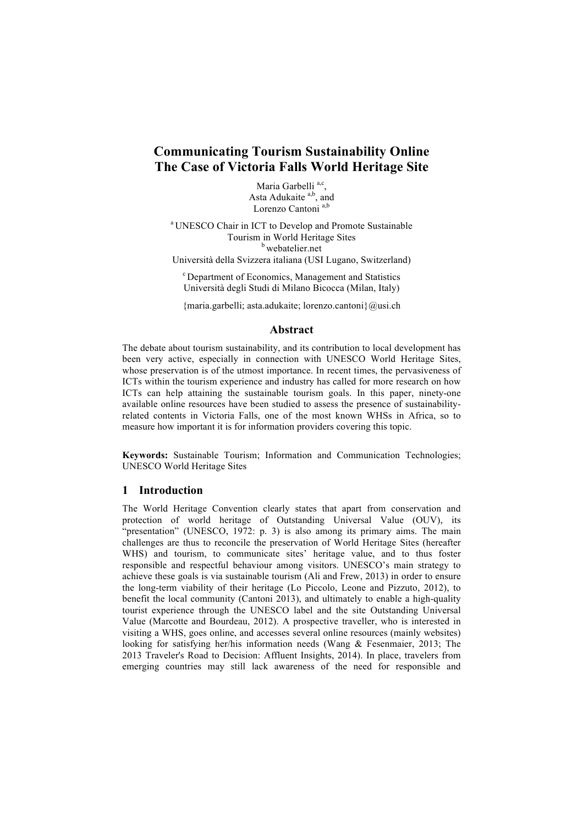# **Communicating Tourism Sustainability Online The Case of Victoria Falls World Heritage Site**

Maria Garbelli<sup>a,c</sup>, Asta Adukaite<sup>a,b</sup>, and Lorenzo Cantoni<sup>a,b</sup>

<sup>a</sup> UNESCO Chair in ICT to Develop and Promote Sustainable Tourism in World Heritage Sites **b** webatelier.net

Università della Svizzera italiana (USI Lugano, Switzerland)

<sup>c</sup> Department of Economics, Management and Statistics Università degli Studi di Milano Bicocca (Milan, Italy)

{maria.garbelli; asta.adukaite; lorenzo.cantoni}@usi.ch

#### **Abstract**

The debate about tourism sustainability, and its contribution to local development has been very active, especially in connection with UNESCO World Heritage Sites, whose preservation is of the utmost importance. In recent times, the pervasiveness of ICTs within the tourism experience and industry has called for more research on how ICTs can help attaining the sustainable tourism goals. In this paper, ninety-one available online resources have been studied to assess the presence of sustainabilityrelated contents in Victoria Falls, one of the most known WHSs in Africa, so to measure how important it is for information providers covering this topic.

**Keywords:** Sustainable Tourism; Information and Communication Technologies; UNESCO World Heritage Sites

## **1 Introduction**

The World Heritage Convention clearly states that apart from conservation and protection of world heritage of Outstanding Universal Value (OUV), its "presentation" (UNESCO, 1972: p. 3) is also among its primary aims. The main challenges are thus to reconcile the preservation of World Heritage Sites (hereafter WHS) and tourism, to communicate sites' heritage value, and to thus foster responsible and respectful behaviour among visitors. UNESCO's main strategy to achieve these goals is via sustainable tourism (Ali and Frew, 2013) in order to ensure the long-term viability of their heritage (Lo Piccolo, Leone and Pizzuto, 2012), to benefit the local community (Cantoni 2013), and ultimately to enable a high-quality tourist experience through the UNESCO label and the site Outstanding Universal Value (Marcotte and Bourdeau, 2012). A prospective traveller, who is interested in visiting a WHS, goes online, and accesses several online resources (mainly websites) looking for satisfying her/his information needs (Wang & Fesenmaier, 2013; The 2013 Traveler's Road to Decision: Affluent Insights, 2014). In place, travelers from emerging countries may still lack awareness of the need for responsible and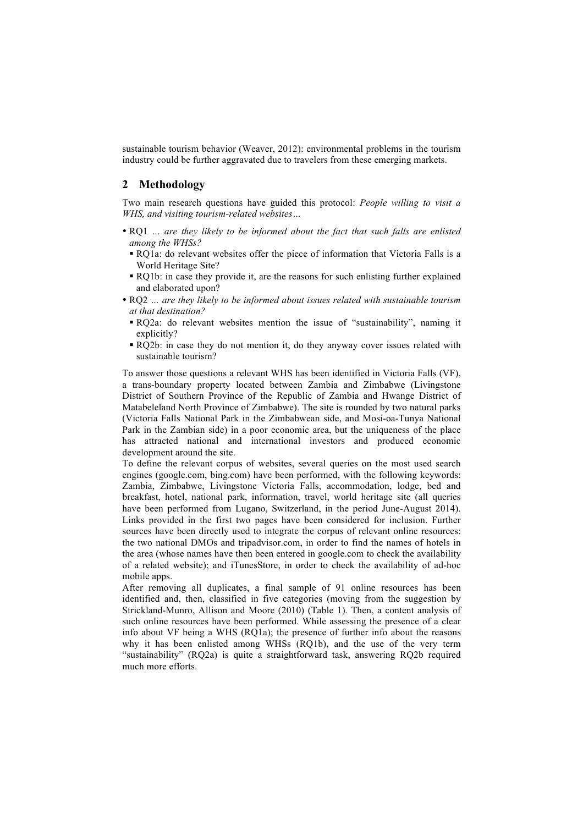sustainable tourism behavior (Weaver, 2012): environmental problems in the tourism industry could be further aggravated due to travelers from these emerging markets.

## **2 Methodology**

Two main research questions have guided this protocol: *People willing to visit a WHS, and visiting tourism-related websites…*

- RQ1 *… are they likely to be informed about the fact that such falls are enlisted among the WHSs?*
	- § RQ1a: do relevant websites offer the piece of information that Victoria Falls is a World Heritage Site?
	- § RQ1b: in case they provide it, are the reasons for such enlisting further explained and elaborated upon?
- RQ2 *… are they likely to be informed about issues related with sustainable tourism at that destination?*
	- § RQ2a: do relevant websites mention the issue of "sustainability", naming it explicitly?
- § RQ2b: in case they do not mention it, do they anyway cover issues related with sustainable tourism?

To answer those questions a relevant WHS has been identified in Victoria Falls (VF), a trans-boundary property located between Zambia and Zimbabwe (Livingstone District of Southern Province of the Republic of Zambia and Hwange District of Matabeleland North Province of Zimbabwe). The site is rounded by two natural parks (Victoria Falls National Park in the Zimbabwean side, and Mosi-oa-Tunya National Park in the Zambian side) in a poor economic area, but the uniqueness of the place has attracted national and international investors and produced economic development around the site.

To define the relevant corpus of websites, several queries on the most used search engines (google.com, bing.com) have been performed, with the following keywords: Zambia, Zimbabwe, Livingstone Victoria Falls, accommodation, lodge, bed and breakfast, hotel, national park, information, travel, world heritage site (all queries have been performed from Lugano, Switzerland, in the period June-August 2014). Links provided in the first two pages have been considered for inclusion. Further sources have been directly used to integrate the corpus of relevant online resources: the two national DMOs and tripadvisor.com, in order to find the names of hotels in the area (whose names have then been entered in google.com to check the availability of a related website); and iTunesStore, in order to check the availability of ad-hoc mobile apps.

After removing all duplicates, a final sample of 91 online resources has been identified and, then, classified in five categories (moving from the suggestion by Strickland-Munro, Allison and Moore (2010) (Table 1). Then, a content analysis of such online resources have been performed. While assessing the presence of a clear info about VF being a WHS (RQ1a); the presence of further info about the reasons why it has been enlisted among WHSs (RQ1b), and the use of the very term "sustainability" (RQ2a) is quite a straightforward task, answering RQ2b required much more efforts.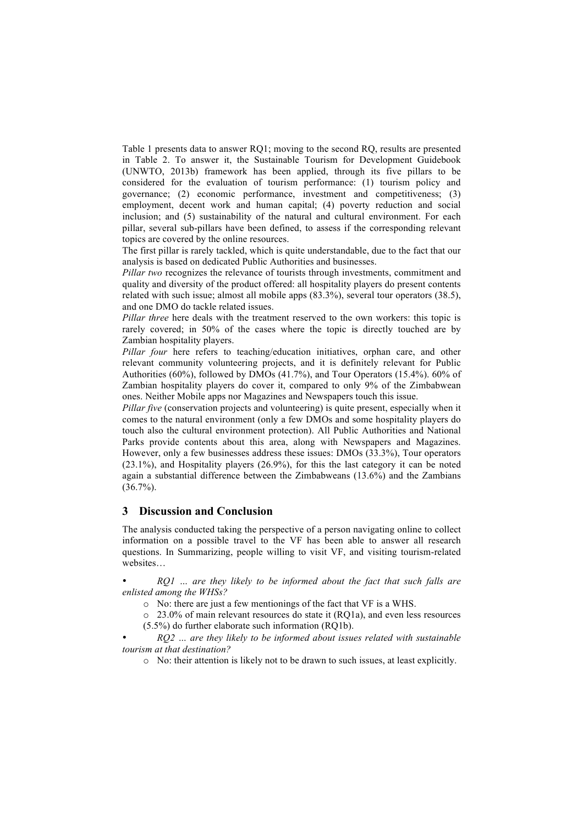Table 1 presents data to answer RQ1; moving to the second RQ, results are presented in Table 2. To answer it, the Sustainable Tourism for Development Guidebook (UNWTO, 2013b) framework has been applied, through its five pillars to be considered for the evaluation of tourism performance: (1) tourism policy and governance; (2) economic performance, investment and competitiveness; (3) employment, decent work and human capital; (4) poverty reduction and social inclusion; and (5) sustainability of the natural and cultural environment. For each pillar, several sub-pillars have been defined, to assess if the corresponding relevant topics are covered by the online resources.

The first pillar is rarely tackled, which is quite understandable, due to the fact that our analysis is based on dedicated Public Authorities and businesses.

*Pillar two* recognizes the relevance of tourists through investments, commitment and quality and diversity of the product offered: all hospitality players do present contents related with such issue; almost all mobile apps (83.3%), several tour operators (38.5), and one DMO do tackle related issues.

*Pillar three* here deals with the treatment reserved to the own workers: this topic is rarely covered; in 50% of the cases where the topic is directly touched are by Zambian hospitality players.

*Pillar four* here refers to teaching/education initiatives, orphan care, and other relevant community volunteering projects, and it is definitely relevant for Public Authorities (60%), followed by DMOs (41.7%), and Tour Operators (15.4%). 60% of Zambian hospitality players do cover it, compared to only 9% of the Zimbabwean ones. Neither Mobile apps nor Magazines and Newspapers touch this issue.

*Pillar five* (conservation projects and volunteering) is quite present, especially when it comes to the natural environment (only a few DMOs and some hospitality players do touch also the cultural environment protection). All Public Authorities and National Parks provide contents about this area, along with Newspapers and Magazines. However, only a few businesses address these issues: DMOs (33.3%), Tour operators (23.1%), and Hospitality players (26.9%), for this the last category it can be noted again a substantial difference between the Zimbabweans (13.6%) and the Zambians  $(36.7\%)$ .

#### **3 Discussion and Conclusion**

The analysis conducted taking the perspective of a person navigating online to collect information on a possible travel to the VF has been able to answer all research questions. In Summarizing, people willing to visit VF, and visiting tourism-related websites…

• *RQ1 … are they likely to be informed about the fact that such falls are enlisted among the WHSs?*

o No: there are just a few mentionings of the fact that VF is a WHS.

o 23.0% of main relevant resources do state it (RQ1a), and even less resources (5.5%) do further elaborate such information (RQ1b).

• *RQ2 … are they likely to be informed about issues related with sustainable tourism at that destination?*

o No: their attention is likely not to be drawn to such issues, at least explicitly.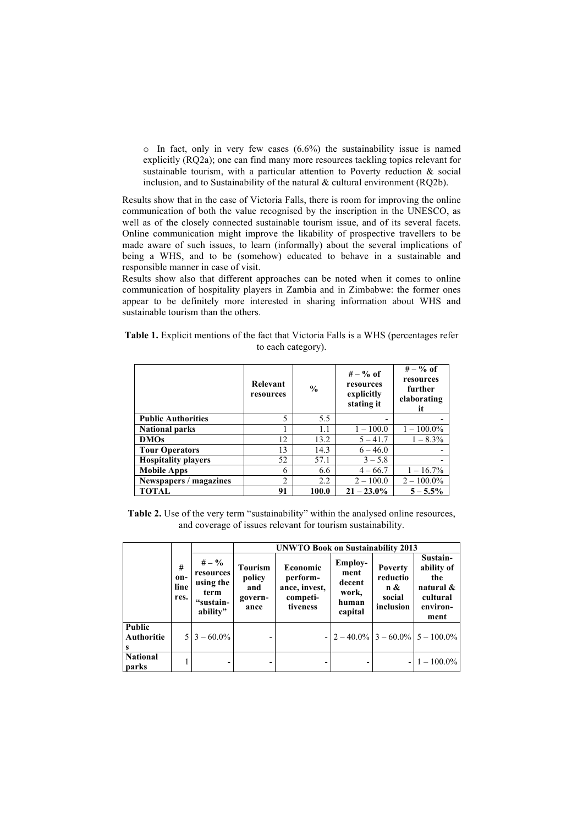$\circ$  In fact, only in very few cases (6.6%) the sustainability issue is named explicitly (RQ2a); one can find many more resources tackling topics relevant for sustainable tourism, with a particular attention to Poverty reduction & social inclusion, and to Sustainability of the natural  $\&$  cultural environment (RQ2b).

Results show that in the case of Victoria Falls, there is room for improving the online communication of both the value recognised by the inscription in the UNESCO, as well as of the closely connected sustainable tourism issue, and of its several facets. Online communication might improve the likability of prospective travellers to be made aware of such issues, to learn (informally) about the several implications of being a WHS, and to be (somehow) educated to behave in a sustainable and responsible manner in case of visit.

Results show also that different approaches can be noted when it comes to online communication of hospitality players in Zambia and in Zimbabwe: the former ones appear to be definitely more interested in sharing information about WHS and sustainable tourism than the others.

|                    |  | <b>Table 1.</b> Explicit mentions of the fact that Victoria Falls is a WHS (percentages refer |  |  |  |  |  |  |  |  |  |
|--------------------|--|-----------------------------------------------------------------------------------------------|--|--|--|--|--|--|--|--|--|
| to each category). |  |                                                                                               |  |  |  |  |  |  |  |  |  |

|                            | Relevant<br>resources | $\frac{0}{0}$ | $# - \%$ of<br>resources<br>explicitly<br>stating it | $# - \%$ of<br>resources<br>further<br>elaborating<br>it |
|----------------------------|-----------------------|---------------|------------------------------------------------------|----------------------------------------------------------|
| <b>Public Authorities</b>  | 5                     | 5.5           |                                                      |                                                          |
| <b>National parks</b>      |                       | 1.1           | $1 - 100.0$                                          | $1 - 100.0\%$                                            |
| <b>DMOs</b>                | 12                    | 13.2          | $5 - 41.7$                                           | $1 - 8.3\%$                                              |
| <b>Tour Operators</b>      | 13                    | 14.3          | $6 - 46.0$                                           |                                                          |
| <b>Hospitality players</b> | 52                    | 57.1          | $3 - 5.8$                                            |                                                          |
| <b>Mobile Apps</b>         | 6                     | 6.6           | $4 - 66.7$                                           | $1 - 16.7\%$                                             |
| Newspapers / magazines     | $\overline{c}$        | 2.2           | $2 - 100.0$                                          | $2 - 100.0\%$                                            |
| TOTAL                      | 91                    | 100.0         | $21 - 23.0\%$                                        | $5 - 5.5\%$                                              |

Table 2. Use of the very term "sustainability" within the analysed online resources, and coverage of issues relevant for tourism sustainability.

|                           |                          |                                                                     | <b>UNWTO Book on Sustainability 2013</b>           |                                                               |                                                               |                                                          |                                                                            |  |  |  |
|---------------------------|--------------------------|---------------------------------------------------------------------|----------------------------------------------------|---------------------------------------------------------------|---------------------------------------------------------------|----------------------------------------------------------|----------------------------------------------------------------------------|--|--|--|
|                           | #<br>on-<br>line<br>res. | $# - \%$<br>resources<br>using the<br>term<br>"sustain-<br>ability" | <b>Tourism</b><br>policy<br>and<br>govern-<br>ance | Economic<br>perform-<br>ance, invest,<br>competi-<br>tiveness | <b>Employ-</b><br>ment<br>decent<br>work,<br>human<br>capital | <b>Poverty</b><br>reductio<br>n &<br>social<br>inclusion | Sustain-<br>ability of<br>the<br>natural &<br>cultural<br>environ-<br>ment |  |  |  |
| Public<br>Authoritie<br>s |                          | $5 3 - 60.0\% $                                                     |                                                    |                                                               |                                                               |                                                          | $- 2 - 40.0\% 3 - 60.0\% 5 - 100.0\% $                                     |  |  |  |
| <b>National</b><br>parks  |                          |                                                                     |                                                    |                                                               |                                                               |                                                          | $1 - 100.0\%$                                                              |  |  |  |